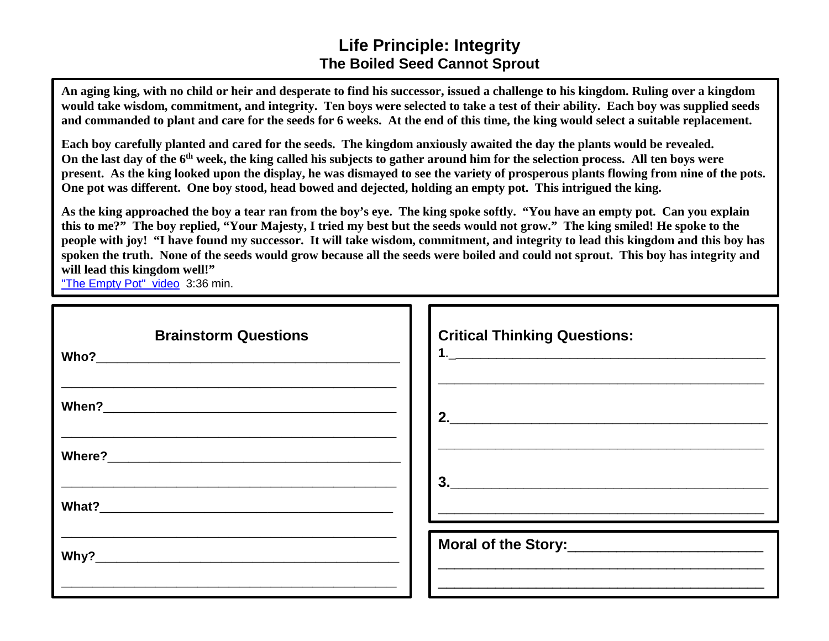## **Life Principle: Integrity The Boiled Seed Cannot Sprout**

**An aging king, with no child or heir and desperate to find his successor, issued a challenge to his kingdom. Ruling over a kingdom would take wisdom, commitment, and integrity. Ten boys were selected to take a test of their ability. Each boy was supplied seeds and commanded to plant and care for the seeds for 6 weeks. At the end of this time, the king would select a suitable replacement.** 

**Each boy carefully planted and cared for the seeds. The kingdom anxiously awaited the day the plants would be revealed. On the last day of the 6th week, the king called his subjects to gather around him for the selection process. All ten boys were present. As the king looked upon the display, he was dismayed to see the variety of prosperous plants flowing from nine of the pots. One pot was different. One boy stood, head bowed and dejected, holding an empty pot. This intrigued the king.** 

**As the king approached the boy a tear ran from the boy's eye. The king spoke softly. "You have an empty pot. Can you explain this to me?" The boy replied, "Your Majesty, I tried my best but the seeds would not grow." The king smiled! He spoke to the people with joy! "I have found my successor. It will take wisdom, commitment, and integrity to lead this kingdom and this boy has spoken the truth. None of the seeds would grow because all the seeds were boiled and could not sprout. This boy has integrity and will lead this kingdom well!"**

["The Empty Pot" video](https://www.youtube.com/watch?v=fvRbPr6MqjI) 3:36 min.

| <b>Brainstorm Questions</b> | <b>Critical Thinking Questions:</b>                                                                                                                                                                                                                                                                                                                                                                             |
|-----------------------------|-----------------------------------------------------------------------------------------------------------------------------------------------------------------------------------------------------------------------------------------------------------------------------------------------------------------------------------------------------------------------------------------------------------------|
|                             | $\begin{array}{c c c c c} \hline \rule{0pt}{2ex} \textbf{2.} & \textbf{3.} & \textbf{4.} & \textbf{5.} \\ \hline \rule{0pt}{2ex} \textbf{2.} & \textbf{4.} & \textbf{5.} & \textbf{6.} \\ \hline \rule{0pt}{2ex} \textbf{3.} & \textbf{5.} & \textbf{6.} & \textbf{7.} \\ \hline \rule{0pt}{2ex} \textbf{4.} & \textbf{6.} & \textbf{7.} & \textbf{8.} \\ \hline \rule{0pt}{2ex} \textbf{5.} & \textbf{7.} & \$ |
|                             | $\begin{array}{c c c c c} \hline \rule{0pt}{16pt} \textbf{3.} & \rule{0pt}{2pt} \textbf{3.} & \rule{0pt}{2pt} \end{array}$                                                                                                                                                                                                                                                                                      |
|                             | <u> 2000 - Jan James James Jan James James James James James James James James James James James James James Jam</u>                                                                                                                                                                                                                                                                                            |
|                             |                                                                                                                                                                                                                                                                                                                                                                                                                 |